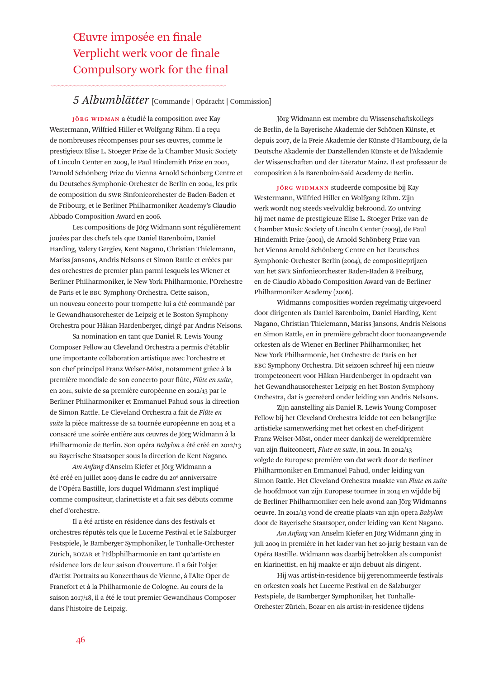## Œuvre imposée en finale Verplicht werk voor de finale Compulsory work for the final

## *5 Albumblätter* [Commande <sup>|</sup> Opdracht <sup>|</sup> Commission]

**JÖRG WIDMAN** a étudié la composition avec Kay Westermann, Wilfried Hiller et Wolfgang Rihm. Il a reçu de nombreuses récompenses pour ses œuvres, comme le prestigieux Elise L. Stoeger Prize de la Chamber Music Society of Lincoln Center en 2009, le Paul Hindemith Prize en 2001, l'Arnold Schönberg Prize du Vienna Arnold Schönberg Centre et du Deutsches Symphonie-Orchester de Berlin en 2004, les prix de composition du SWR Sinfonieorchester de Baden-Baden et de Fribourg, et le Berliner Philharmoniker Academy's Claudio Abbado Composition Award en 2006.

Les compositions de Jörg Widmann sont régulièrement jouées par des chefs tels que Daniel Barenboim, Daniel Harding, Valery Gergiev, Kent Nagano, Christian Thielemann, Mariss Jansons, Andris Nelsons et Simon Rattle et créées par des orchestres de premier plan parmi lesquels les Wiener et Berliner Philharmoniker, le New York Philharmonic, l'Orchestre de Paris et le BBC Symphony Orchestra. Cette saison, un nouveau concerto pour trompette lui a été commandé par le Gewandhausorchester de Leipzig et le Boston Symphony Orchestra pour Håkan Hardenberger, dirigé par Andris Nelsons.

Sa nomination en tant que Daniel R. Lewis Young Composer Fellow au Cleveland Orchestra a permis d'établir une importante collaboration artistique avec l'orchestre et son chef principal Franz Welser-Möst, notamment grâce à la première mondiale de son concerto pour flûte, *Flûte en suite*, en 2011, suivie de sa première européenne en 2012/13 par le Berliner Philharmoniker et Emmanuel Pahud sous la direction de Simon Rattle. Le Cleveland Orchestra a fait de *Flûte en suite* la pièce maîtresse de sa tournée européenne en 2014 et a consacré une soirée entière aux œuvres de Jörg Widmann à la Philharmonie de Berlin. Son opéra *Babylon* a été créé en 2012/13 au Bayerische Staatsoper sous la direction de Kent Nagano.

*Am Anfang* d'Anselm Kiefer et Jörg Widmann a été créé en juillet 2009 dans le cadre du 20<sup>e</sup> anniversaire de l'Opéra Bastille, lors duquel Widmann s'est impliqué comme compositeur, clarinettiste et a fait ses débuts comme chef d'orchestre.

Il a été artiste en résidence dans des festivals et orchestres réputés tels que le Lucerne Festival et le Salzburger Festspiele, le Bamberger Symphoniker, le Tonhalle-Orchester Zürich, BOZAR et l'Elbphilharmonie en tant qu'artiste en résidence lors de leur saison d'ouverture. Il a fait l'objet d'Artist Portraits au Konzerthaus de Vienne, à l'Alte Oper de Francfort et à la Philharmonie de Cologne. Au cours de la saison 2017/18, il a été le tout premier Gewandhaus Composer dans l'histoire de Leipzig.

Jörg Widmann est membre du Wissenschaftskollegs de Berlin, de la Bayerische Akademie der Schönen Künste, et depuis 2007, de la Freie Akademie der Künste d'Hambourg, de la Deutsche Akademie der Darstellenden Künste et de l'Akademie der Wissenschaften und der Literatur Mainz. Il est professeur de composition à la Barenboim-Said Academy de Berlin.

**JÖRG WIDMANN** studeerde compositie bij Kay Westermann, Wilfried Hiller en Wolfgang Rihm. Zijn werk wordt nog steeds veelvuldig bekroond. Zo ontving hij met name de prestigieuze Elise L. Stoeger Prize van de Chamber Music Society of Lincoln Center (2009), de Paul Hindemith Prize (2001), de Arnold Schönberg Prize van het Vienna Arnold Schönberg Centre en het Deutsches Symphonie-Orchester Berlin (2004), de compositieprijzen van het SWR Sinfonieorchester Baden-Baden & Freiburg, en de Claudio Abbado Composition Award van de Berliner Philharmoniker Academy (2006).

Widmanns composities worden regelmatig uitgevoerd door dirigenten als Daniel Barenboim, Daniel Harding, Kent Nagano, Christian Thielemann, Mariss Jansons, Andris Nelsons en Simon Rattle, en in première gebracht door toonaangevende orkesten als de Wiener en Berliner Philharmoniker, het New York Philharmonic, het Orchestre de Paris en het BBC Symphony Orchestra. Dit seizoen schreef hij een nieuw trompetconcert voor Håkan Hardenberger in opdracht van het Gewandhausorchester Leipzig en het Boston Symphony Orchestra, dat is gecreëerd onder leiding van Andris Nelsons.

Zijn aanstelling als Daniel R. Lewis Young Composer Fellow bij het Cleveland Orchestra leidde tot een belangrijke artistieke samenwerking met het orkest en chef-dirigent Franz Welser-Möst, onder meer dankzij de wereldpremière van zijn fluitconcert, *Flute en suite*, in 2011. In 2012/13 volgde de Europese première van dat werk door de Berliner Philharmoniker en Emmanuel Pahud, onder leiding van Simon Rattle. Het Cleveland Orchestra maakte van *Flute en suite* de hoofdmoot van zijn Europese tournee in 2014 en wijdde bij de Berliner Philharmoniker een hele avond aan Jörg Widmanns oeuvre. In 2012/13 vond de creatie plaats van zijn opera *Babylon* door de Bayerische Staatsoper, onder leiding van Kent Nagano.

*Am Anfang* van Anselm Kiefer en Jörg Widmann ging in juli 2009 in première in het kader van het 20-jarig bestaan van de Opéra Bastille. Widmann was daarbij betrokken als componist en klarinettist, en hij maakte er zijn debuut als dirigent.

Hij was artist-in-residence bij gerenommeerde festivals en orkesten zoals het Lucerne Festival en de Salzburger Festspiele, de Bamberger Symphoniker, het Tonhalle-Orchester Zürich, Bozar en als artist-in-residence tijdens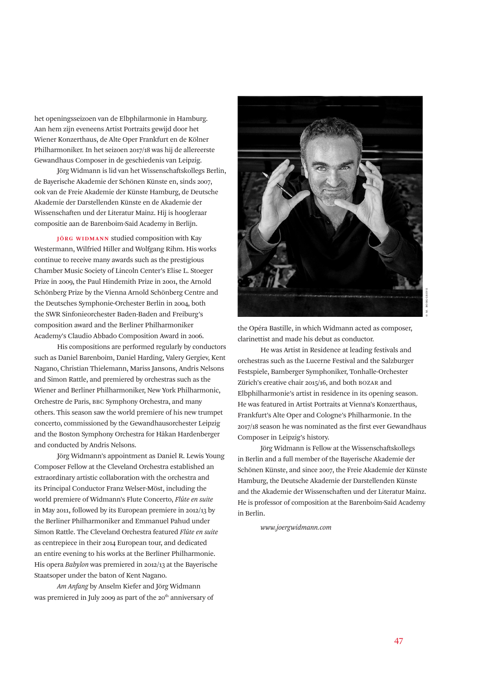het openingsseizoen van de Elbphilarmonie in Hamburg. Aan hem zijn eveneens Artist Portraits gewijd door het Wiener Konzerthaus, de Alte Oper Frankfurt en de Kölner Philharmoniker. In het seizoen 2017/18 was hij de allereerste Gewandhaus Composer in de geschiedenis van Leipzig.

Jörg Widmann is lid van het Wissenschaftskollegs Berlin, de Bayerische Akademie der Schönen Künste en, sinds 2007, ook van de Freie Akademie der Künste Hamburg, de Deutsche Akademie der Darstellenden Künste en de Akademie der Wissenschaften und der Literatur Mainz. Hij is hoogleraar compositie aan de Barenboim-Said Academy in Berlijn.

**JÖRG WIDMANN** studied composition with Kay Westermann, Wilfried Hiller and Wolfgang Rihm. His works continue to receive many awards such as the prestigious Chamber Music Society of Lincoln Center's Elise L. Stoeger Prize in 2009, the Paul Hindemith Prize in 2001, the Arnold Schönberg Prize by the Vienna Arnold Schönberg Centre and the Deutsches Symphonie-Orchester Berlin in 2004, both the SWR Sinfonieorchester Baden-Baden and Freiburg's composition award and the Berliner Philharmoniker Academy's Claudio Abbado Composition Award in 2006.

His compositions are performed regularly by conductors such as Daniel Barenboim, Daniel Harding, Valery Gergiev, Kent Nagano, Christian Thielemann, Mariss Jansons, Andris Nelsons and Simon Rattle, and premiered by orchestras such as the Wiener and Berliner Philharmoniker, New York Philharmonic, Orchestre de Paris, BBC Symphony Orchestra, and many others. This season saw the world premiere of his new trumpet concerto, commissioned by the Gewandhausorchester Leipzig and the Boston Symphony Orchestra for Håkan Hardenberger and conducted by Andris Nelsons.

Jörg Widmann's appointment as Daniel R. Lewis Young Composer Fellow at the Cleveland Orchestra established an extraordinary artistic collaboration with the orchestra and its Principal Conductor Franz Welser-Möst, including the world premiere of Widmann's Flute Concerto, *Flûte en suite* in May 2011, followed by its European premiere in 2012/13 by the Berliner Philharmoniker and Emmanuel Pahud under Simon Rattle. The Cleveland Orchestra featured *Flûte en suite* as centrepiece in their 2014 European tour, and dedicated an entire evening to his works at the Berliner Philharmonie. His opera *Babylon* was premiered in 2012/13 at the Bayerische Staatsoper under the baton of Kent Nagano.

*Am Anfang* by Anselm Kiefer and Jörg Widmann was premiered in July 2009 as part of the  $20<sup>th</sup>$  anniversary of



the Opéra Bastille, in which Widmann acted as composer, clarinettist and made his debut as conductor.

He was Artist in Residence at leading festivals and orchestras such as the Lucerne Festival and the Salzburger Festspiele, Bamberger Symphoniker, Tonhalle-Orchester Zürich's creative chair 2015/16, and both BOZAR and Elbphilharmonie's artist in residence in its opening season. He was featured in Artist Portraits at Vienna's Konzerthaus, Frankfurt's Alte Oper and Cologne's Philharmonie. In the 2017/18 season he was nominated as the first ever Gewandhaus Composer in Leipzig's history.

Jörg Widmann is Fellow at the Wissenschaftskollegs in Berlin and a full member of the Bayerische Akademie der Schönen Künste, and since 2007, the Freie Akademie der Künste Hamburg, the Deutsche Akademie der Darstellenden Künste and the Akademie der Wissenschaften und der Literatur Mainz. He is professor of composition at the Barenboim-Said Academy in Berlin.

*www.joergwidmann.com*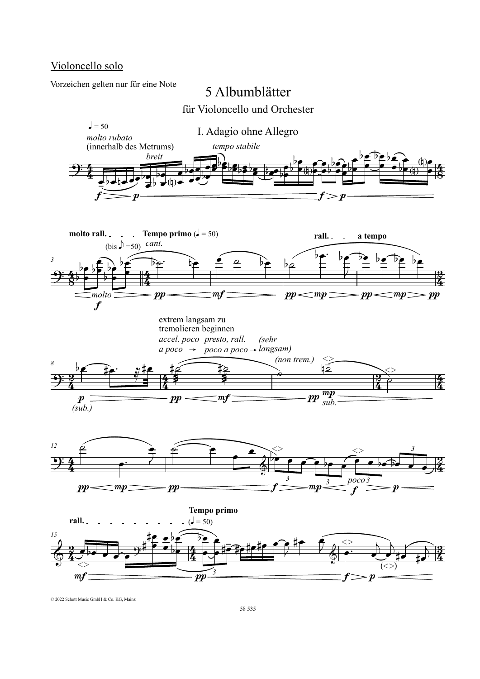### Violoncello solo

Vorzeichen gelten nur für eine Note

# 5 Albumblätter

für Violoncello und Orchester











© 2022 Schott Music GmbH & Co. KG, Mainz